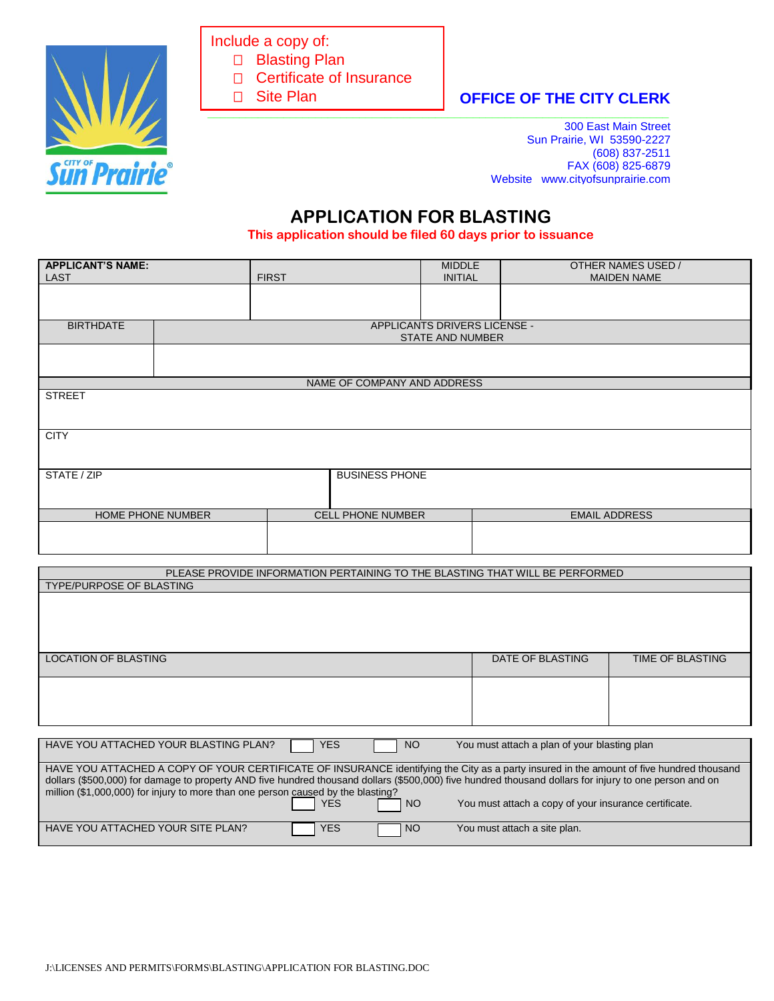

Include a copy of:

□ Blasting Plan

- □ Certificate of Insurance
- □ Site Plan
- **\_\_\_\_\_\_\_\_\_\_\_\_\_\_\_\_\_\_\_\_\_\_\_\_\_\_\_\_\_\_\_\_\_\_\_\_\_\_\_\_\_\_\_\_\_\_\_\_\_\_\_\_\_\_\_\_\_\_\_\_\_\_\_\_\_\_\_\_\_\_\_\_\_** Ξ

**OFFICE OF THE CITY CLERK** 

300 East Main Street Sun Prairie, WI 53590-2227 (608) 837-2511 FAX (608) 825-6879 Website www.cityofsunprairie.com

## **APPLICATION FOR BLASTING**

**This application should be filed 60 days prior to issuance**

| <b>APPLICANT'S NAME:</b><br><b>LAST</b> |                                                         | <b>FIRST</b>                | <b>MIDDLE</b><br><b>INITIAL</b> | OTHER NAMES USED /<br><b>MAIDEN NAME</b> |  |
|-----------------------------------------|---------------------------------------------------------|-----------------------------|---------------------------------|------------------------------------------|--|
|                                         |                                                         |                             |                                 |                                          |  |
| <b>BIRTHDATE</b>                        | APPLICANTS DRIVERS LICENSE -<br><b>STATE AND NUMBER</b> |                             |                                 |                                          |  |
|                                         |                                                         |                             |                                 |                                          |  |
|                                         |                                                         | NAME OF COMPANY AND ADDRESS |                                 |                                          |  |
| <b>STREET</b>                           |                                                         |                             |                                 |                                          |  |
| <b>CITY</b>                             |                                                         |                             |                                 |                                          |  |
| STATE / ZIP<br><b>BUSINESS PHONE</b>    |                                                         |                             |                                 |                                          |  |
| HOME PHONE NUMBER                       |                                                         | <b>CELL PHONE NUMBER</b>    |                                 | <b>EMAIL ADDRESS</b>                     |  |
|                                         |                                                         |                             |                                 |                                          |  |

PLEASE PROVIDE INFORMATION PERTAINING TO THE BLASTING THAT WILL BE PERFORMED

| <b>TYPE/PURPOSE OF BLASTING</b>                                                                                                                                                                                                            |            |     |                                                       |                  |
|--------------------------------------------------------------------------------------------------------------------------------------------------------------------------------------------------------------------------------------------|------------|-----|-------------------------------------------------------|------------------|
|                                                                                                                                                                                                                                            |            |     |                                                       |                  |
|                                                                                                                                                                                                                                            |            |     |                                                       |                  |
|                                                                                                                                                                                                                                            |            |     |                                                       |                  |
|                                                                                                                                                                                                                                            |            |     |                                                       |                  |
| <b>LOCATION OF BLASTING</b>                                                                                                                                                                                                                |            |     | DATE OF BLASTING                                      | TIME OF BLASTING |
|                                                                                                                                                                                                                                            |            |     |                                                       |                  |
|                                                                                                                                                                                                                                            |            |     |                                                       |                  |
|                                                                                                                                                                                                                                            |            |     |                                                       |                  |
|                                                                                                                                                                                                                                            |            |     |                                                       |                  |
|                                                                                                                                                                                                                                            |            |     |                                                       |                  |
| HAVE YOU ATTACHED YOUR BLASTING PLAN?<br><b>YES</b><br>NO <sub>1</sub><br>You must attach a plan of your blasting plan                                                                                                                     |            |     |                                                       |                  |
|                                                                                                                                                                                                                                            |            |     |                                                       |                  |
| HAVE YOU ATTACHED A COPY OF YOUR CERTIFICATE OF INSURANCE identifying the City as a party insured in the amount of five hundred thousand                                                                                                   |            |     |                                                       |                  |
| dollars (\$500,000) for damage to property AND five hundred thousand dollars (\$500,000) five hundred thousand dollars for injury to one person and on<br>million (\$1,000,000) for injury to more than one person caused by the blasting? |            |     |                                                       |                  |
|                                                                                                                                                                                                                                            | YES        | NO. | You must attach a copy of your insurance certificate. |                  |
|                                                                                                                                                                                                                                            |            |     |                                                       |                  |
| HAVE YOU ATTACHED YOUR SITE PLAN?                                                                                                                                                                                                          | <b>YES</b> | NO  | You must attach a site plan.                          |                  |